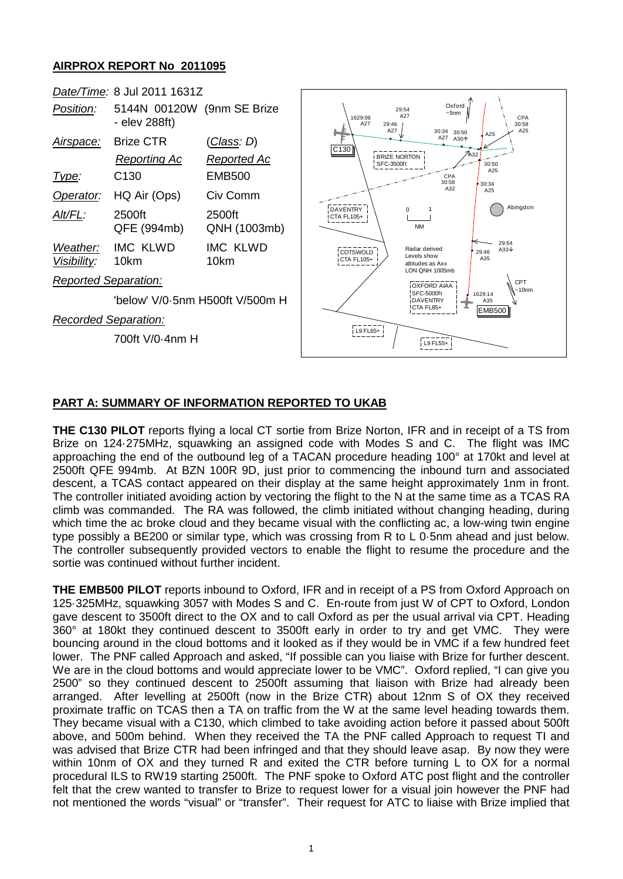# **AIRPROX REPORT No 2011095**



# **PART A: SUMMARY OF INFORMATION REPORTED TO UKAB**

**THE C130 PILOT** reports flying a local CT sortie from Brize Norton, IFR and in receipt of a TS from Brize on 124·275MHz, squawking an assigned code with Modes S and C. The flight was IMC approaching the end of the outbound leg of a TACAN procedure heading 100° at 170kt and level at 2500ft QFE 994mb. At BZN 100R 9D, just prior to commencing the inbound turn and associated descent, a TCAS contact appeared on their display at the same height approximately 1nm in front. The controller initiated avoiding action by vectoring the flight to the N at the same time as a TCAS RA climb was commanded. The RA was followed, the climb initiated without changing heading, during which time the ac broke cloud and they became visual with the conflicting ac, a low-wing twin engine type possibly a BE200 or similar type, which was crossing from R to L 0·5nm ahead and just below. The controller subsequently provided vectors to enable the flight to resume the procedure and the sortie was continued without further incident.

**THE EMB500 PILOT** reports inbound to Oxford, IFR and in receipt of a PS from Oxford Approach on 125·325MHz, squawking 3057 with Modes S and C. En-route from just W of CPT to Oxford, London gave descent to 3500ft direct to the OX and to call Oxford as per the usual arrival via CPT. Heading 360° at 180kt they continued descent to 3500ft early in order to try and get VMC. They were bouncing around in the cloud bottoms and it looked as if they would be in VMC if a few hundred feet lower. The PNF called Approach and asked, "If possible can you liaise with Brize for further descent. We are in the cloud bottoms and would appreciate lower to be VMC". Oxford replied, "I can give you 2500" so they continued descent to 2500ft assuming that liaison with Brize had already been arranged. After levelling at 2500ft (now in the Brize CTR) about 12nm S of OX they received proximate traffic on TCAS then a TA on traffic from the W at the same level heading towards them. They became visual with a C130, which climbed to take avoiding action before it passed about 500ft above, and 500m behind. When they received the TA the PNF called Approach to request TI and was advised that Brize CTR had been infringed and that they should leave asap. By now they were within 10nm of OX and they turned R and exited the CTR before turning L to OX for a normal procedural ILS to RW19 starting 2500ft. The PNF spoke to Oxford ATC post flight and the controller felt that the crew wanted to transfer to Brize to request lower for a visual join however the PNF had not mentioned the words "visual" or "transfer". Their request for ATC to liaise with Brize implied that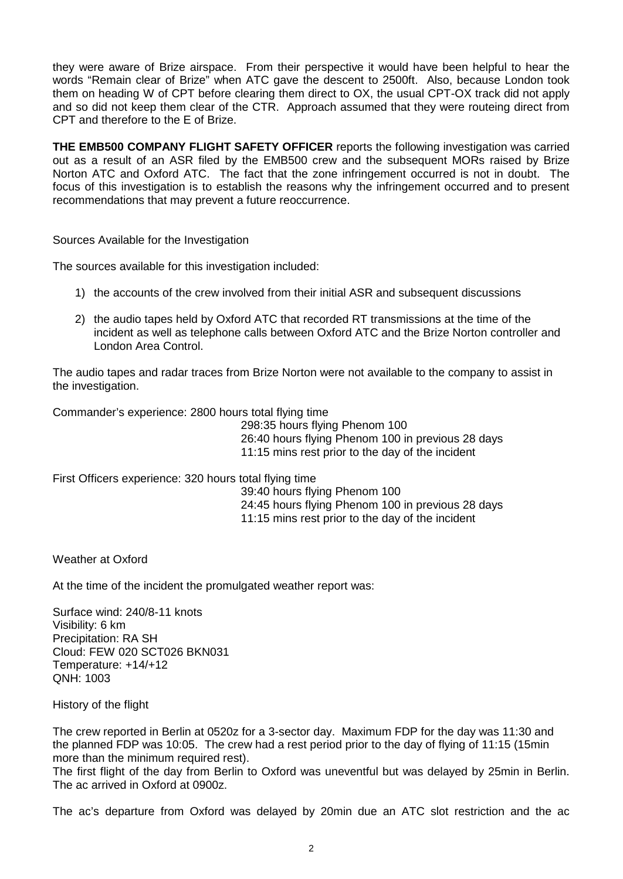they were aware of Brize airspace. From their perspective it would have been helpful to hear the words "Remain clear of Brize" when ATC gave the descent to 2500ft. Also, because London took them on heading W of CPT before clearing them direct to OX, the usual CPT-OX track did not apply and so did not keep them clear of the CTR. Approach assumed that they were routeing direct from CPT and therefore to the E of Brize.

**THE EMB500 COMPANY FLIGHT SAFETY OFFICER** reports the following investigation was carried out as a result of an ASR filed by the EMB500 crew and the subsequent MORs raised by Brize Norton ATC and Oxford ATC. The fact that the zone infringement occurred is not in doubt. The focus of this investigation is to establish the reasons why the infringement occurred and to present recommendations that may prevent a future reoccurrence.

Sources Available for the Investigation

The sources available for this investigation included:

- 1) the accounts of the crew involved from their initial ASR and subsequent discussions
- 2) the audio tapes held by Oxford ATC that recorded RT transmissions at the time of the incident as well as telephone calls between Oxford ATC and the Brize Norton controller and London Area Control.

The audio tapes and radar traces from Brize Norton were not available to the company to assist in the investigation.

Commander's experience: 2800 hours total flying time

298:35 hours flying Phenom 100 26:40 hours flying Phenom 100 in previous 28 days 11:15 mins rest prior to the day of the incident

First Officers experience: 320 hours total flying time

39:40 hours flying Phenom 100 24:45 hours flying Phenom 100 in previous 28 days 11:15 mins rest prior to the day of the incident

Weather at Oxford

At the time of the incident the promulgated weather report was:

Surface wind: 240/8-11 knots Visibility: 6 km Precipitation: RA SH Cloud: FEW 020 SCT026 BKN031 Temperature: +14/+12 QNH: 1003

History of the flight

The crew reported in Berlin at 0520z for a 3-sector day. Maximum FDP for the day was 11:30 and the planned FDP was 10:05. The crew had a rest period prior to the day of flying of 11:15 (15min more than the minimum required rest).

The first flight of the day from Berlin to Oxford was uneventful but was delayed by 25min in Berlin. The ac arrived in Oxford at 0900z.

The ac's departure from Oxford was delayed by 20min due an ATC slot restriction and the ac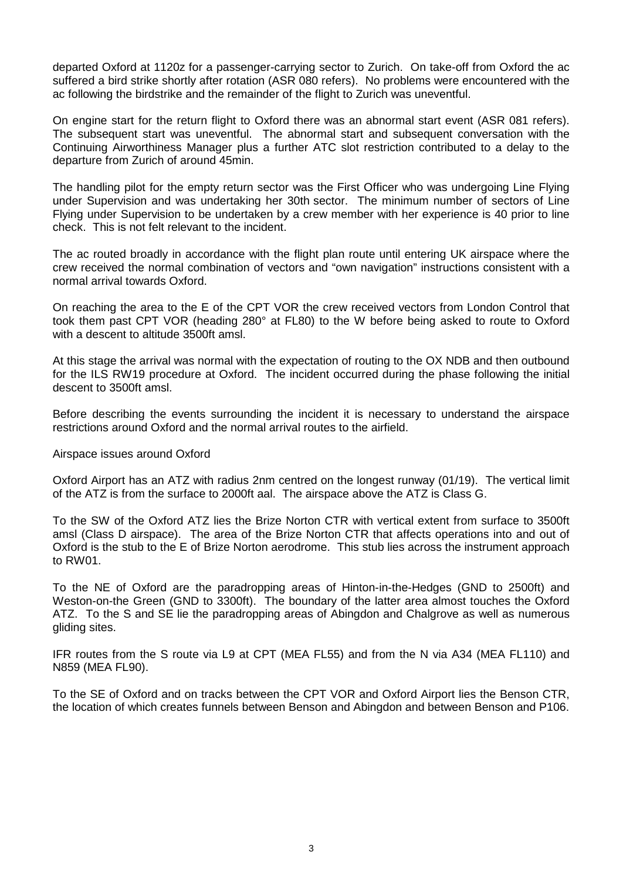departed Oxford at 1120z for a passenger-carrying sector to Zurich. On take-off from Oxford the ac suffered a bird strike shortly after rotation (ASR 080 refers). No problems were encountered with the ac following the birdstrike and the remainder of the flight to Zurich was uneventful.

On engine start for the return flight to Oxford there was an abnormal start event (ASR 081 refers). The subsequent start was uneventful. The abnormal start and subsequent conversation with the Continuing Airworthiness Manager plus a further ATC slot restriction contributed to a delay to the departure from Zurich of around 45min.

The handling pilot for the empty return sector was the First Officer who was undergoing Line Flying under Supervision and was undertaking her 30th sector. The minimum number of sectors of Line Flying under Supervision to be undertaken by a crew member with her experience is 40 prior to line check. This is not felt relevant to the incident.

The ac routed broadly in accordance with the flight plan route until entering UK airspace where the crew received the normal combination of vectors and "own navigation" instructions consistent with a normal arrival towards Oxford.

On reaching the area to the E of the CPT VOR the crew received vectors from London Control that took them past CPT VOR (heading 280° at FL80) to the W before being asked to route to Oxford with a descent to altitude 3500ft amsl.

At this stage the arrival was normal with the expectation of routing to the OX NDB and then outbound for the ILS RW19 procedure at Oxford. The incident occurred during the phase following the initial descent to 3500ft amsl.

Before describing the events surrounding the incident it is necessary to understand the airspace restrictions around Oxford and the normal arrival routes to the airfield.

#### Airspace issues around Oxford

Oxford Airport has an ATZ with radius 2nm centred on the longest runway (01/19). The vertical limit of the ATZ is from the surface to 2000ft aal. The airspace above the ATZ is Class G.

To the SW of the Oxford ATZ lies the Brize Norton CTR with vertical extent from surface to 3500ft amsl (Class D airspace). The area of the Brize Norton CTR that affects operations into and out of Oxford is the stub to the E of Brize Norton aerodrome. This stub lies across the instrument approach to RW01.

To the NE of Oxford are the paradropping areas of Hinton-in-the-Hedges (GND to 2500ft) and Weston-on-the Green (GND to 3300ft). The boundary of the latter area almost touches the Oxford ATZ. To the S and SE lie the paradropping areas of Abingdon and Chalgrove as well as numerous gliding sites.

IFR routes from the S route via L9 at CPT (MEA FL55) and from the N via A34 (MEA FL110) and N859 (MEA FL90).

To the SE of Oxford and on tracks between the CPT VOR and Oxford Airport lies the Benson CTR, the location of which creates funnels between Benson and Abingdon and between Benson and P106.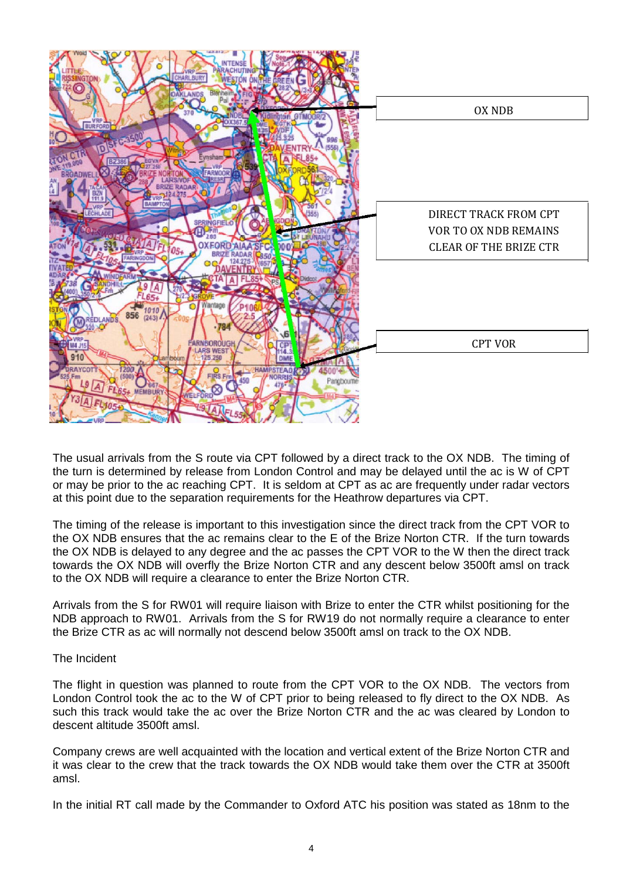

The usual arrivals from the S route via CPT followed by a direct track to the OX NDB. The timing of the turn is determined by release from London Control and may be delayed until the ac is W of CPT or may be prior to the ac reaching CPT. It is seldom at CPT as ac are frequently under radar vectors at this point due to the separation requirements for the Heathrow departures via CPT.

The timing of the release is important to this investigation since the direct track from the CPT VOR to the OX NDB ensures that the ac remains clear to the E of the Brize Norton CTR. If the turn towards the OX NDB is delayed to any degree and the ac passes the CPT VOR to the W then the direct track towards the OX NDB will overfly the Brize Norton CTR and any descent below 3500ft amsl on track to the OX NDB will require a clearance to enter the Brize Norton CTR.

Arrivals from the S for RW01 will require liaison with Brize to enter the CTR whilst positioning for the NDB approach to RW01. Arrivals from the S for RW19 do not normally require a clearance to enter the Brize CTR as ac will normally not descend below 3500ft amsl on track to the OX NDB.

# The Incident

The flight in question was planned to route from the CPT VOR to the OX NDB. The vectors from London Control took the ac to the W of CPT prior to being released to fly direct to the OX NDB. As such this track would take the ac over the Brize Norton CTR and the ac was cleared by London to descent altitude 3500ft amsl.

Company crews are well acquainted with the location and vertical extent of the Brize Norton CTR and it was clear to the crew that the track towards the OX NDB would take them over the CTR at 3500ft amsl.

In the initial RT call made by the Commander to Oxford ATC his position was stated as 18nm to the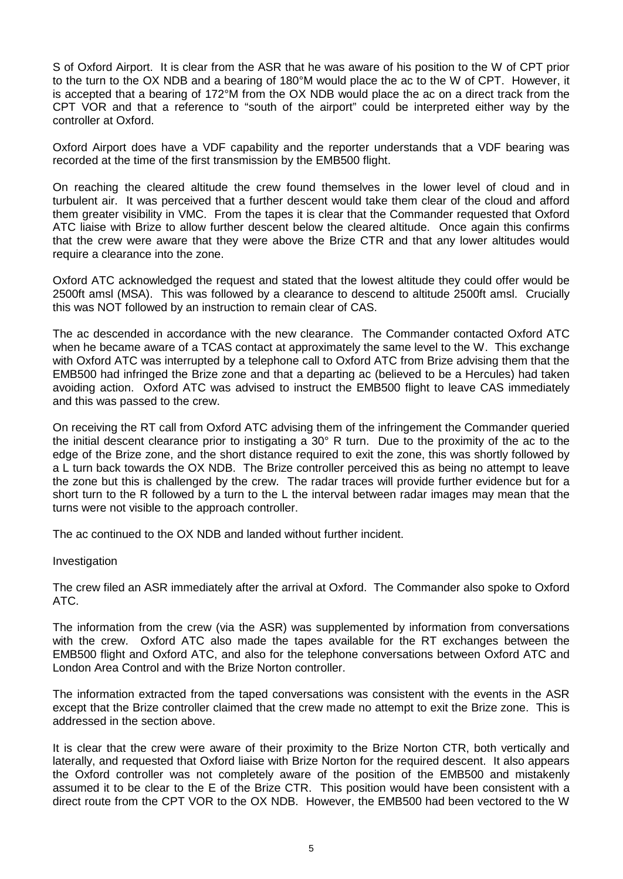S of Oxford Airport. It is clear from the ASR that he was aware of his position to the W of CPT prior to the turn to the OX NDB and a bearing of 180°M would place the ac to the W of CPT. However, it is accepted that a bearing of 172°M from the OX NDB would place the ac on a direct track from the CPT VOR and that a reference to "south of the airport" could be interpreted either way by the controller at Oxford.

Oxford Airport does have a VDF capability and the reporter understands that a VDF bearing was recorded at the time of the first transmission by the EMB500 flight.

On reaching the cleared altitude the crew found themselves in the lower level of cloud and in turbulent air. It was perceived that a further descent would take them clear of the cloud and afford them greater visibility in VMC. From the tapes it is clear that the Commander requested that Oxford ATC liaise with Brize to allow further descent below the cleared altitude. Once again this confirms that the crew were aware that they were above the Brize CTR and that any lower altitudes would require a clearance into the zone.

Oxford ATC acknowledged the request and stated that the lowest altitude they could offer would be 2500ft amsl (MSA). This was followed by a clearance to descend to altitude 2500ft amsl. Crucially this was NOT followed by an instruction to remain clear of CAS.

The ac descended in accordance with the new clearance. The Commander contacted Oxford ATC when he became aware of a TCAS contact at approximately the same level to the W. This exchange with Oxford ATC was interrupted by a telephone call to Oxford ATC from Brize advising them that the EMB500 had infringed the Brize zone and that a departing ac (believed to be a Hercules) had taken avoiding action. Oxford ATC was advised to instruct the EMB500 flight to leave CAS immediately and this was passed to the crew.

On receiving the RT call from Oxford ATC advising them of the infringement the Commander queried the initial descent clearance prior to instigating a 30° R turn. Due to the proximity of the ac to the edge of the Brize zone, and the short distance required to exit the zone, this was shortly followed by a L turn back towards the OX NDB. The Brize controller perceived this as being no attempt to leave the zone but this is challenged by the crew. The radar traces will provide further evidence but for a short turn to the R followed by a turn to the L the interval between radar images may mean that the turns were not visible to the approach controller.

The ac continued to the OX NDB and landed without further incident.

# Investigation

The crew filed an ASR immediately after the arrival at Oxford. The Commander also spoke to Oxford ATC.

The information from the crew (via the ASR) was supplemented by information from conversations with the crew. Oxford ATC also made the tapes available for the RT exchanges between the EMB500 flight and Oxford ATC, and also for the telephone conversations between Oxford ATC and London Area Control and with the Brize Norton controller.

The information extracted from the taped conversations was consistent with the events in the ASR except that the Brize controller claimed that the crew made no attempt to exit the Brize zone. This is addressed in the section above.

It is clear that the crew were aware of their proximity to the Brize Norton CTR, both vertically and laterally, and requested that Oxford liaise with Brize Norton for the required descent. It also appears the Oxford controller was not completely aware of the position of the EMB500 and mistakenly assumed it to be clear to the E of the Brize CTR. This position would have been consistent with a direct route from the CPT VOR to the OX NDB. However, the EMB500 had been vectored to the W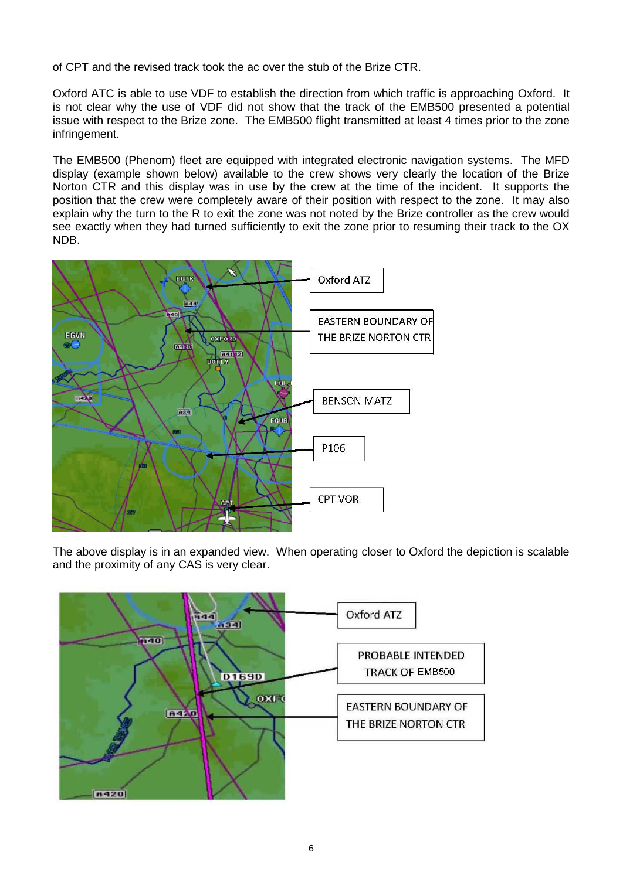of CPT and the revised track took the ac over the stub of the Brize CTR.

Oxford ATC is able to use VDF to establish the direction from which traffic is approaching Oxford. It is not clear why the use of VDF did not show that the track of the EMB500 presented a potential issue with respect to the Brize zone. The EMB500 flight transmitted at least 4 times prior to the zone infringement.

The EMB500 (Phenom) fleet are equipped with integrated electronic navigation systems. The MFD display (example shown below) available to the crew shows very clearly the location of the Brize Norton CTR and this display was in use by the crew at the time of the incident. It supports the position that the crew were completely aware of their position with respect to the zone. It may also explain why the turn to the R to exit the zone was not noted by the Brize controller as the crew would see exactly when they had turned sufficiently to exit the zone prior to resuming their track to the OX NDB.



The above display is in an expanded view. When operating closer to Oxford the depiction is scalable and the proximity of any CAS is very clear.

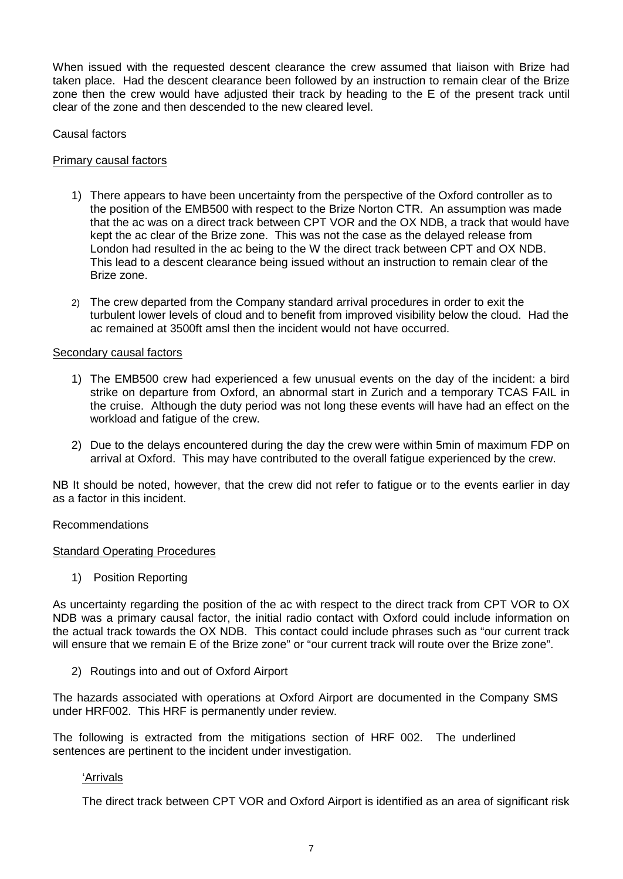When issued with the requested descent clearance the crew assumed that liaison with Brize had taken place. Had the descent clearance been followed by an instruction to remain clear of the Brize zone then the crew would have adjusted their track by heading to the E of the present track until clear of the zone and then descended to the new cleared level.

Causal factors

### Primary causal factors

- 1) There appears to have been uncertainty from the perspective of the Oxford controller as to the position of the EMB500 with respect to the Brize Norton CTR. An assumption was made that the ac was on a direct track between CPT VOR and the OX NDB, a track that would have kept the ac clear of the Brize zone. This was not the case as the delayed release from London had resulted in the ac being to the W the direct track between CPT and OX NDB. This lead to a descent clearance being issued without an instruction to remain clear of the Brize zone.
- 2) The crew departed from the Company standard arrival procedures in order to exit the turbulent lower levels of cloud and to benefit from improved visibility below the cloud. Had the ac remained at 3500ft amsl then the incident would not have occurred.

### Secondary causal factors

- 1) The EMB500 crew had experienced a few unusual events on the day of the incident: a bird strike on departure from Oxford, an abnormal start in Zurich and a temporary TCAS FAIL in the cruise. Although the duty period was not long these events will have had an effect on the workload and fatigue of the crew.
- 2) Due to the delays encountered during the day the crew were within 5min of maximum FDP on arrival at Oxford. This may have contributed to the overall fatigue experienced by the crew.

NB It should be noted, however, that the crew did not refer to fatigue or to the events earlier in day as a factor in this incident.

#### Recommendations

#### **Standard Operating Procedures**

1) Position Reporting

As uncertainty regarding the position of the ac with respect to the direct track from CPT VOR to OX NDB was a primary causal factor, the initial radio contact with Oxford could include information on the actual track towards the OX NDB. This contact could include phrases such as "our current track will ensure that we remain E of the Brize zone" or "our current track will route over the Brize zone".

2) Routings into and out of Oxford Airport

The hazards associated with operations at Oxford Airport are documented in the Company SMS under HRF002. This HRF is permanently under review.

The following is extracted from the mitigations section of HRF 002. The underlined sentences are pertinent to the incident under investigation.

#### 'Arrivals

The direct track between CPT VOR and Oxford Airport is identified as an area of significant risk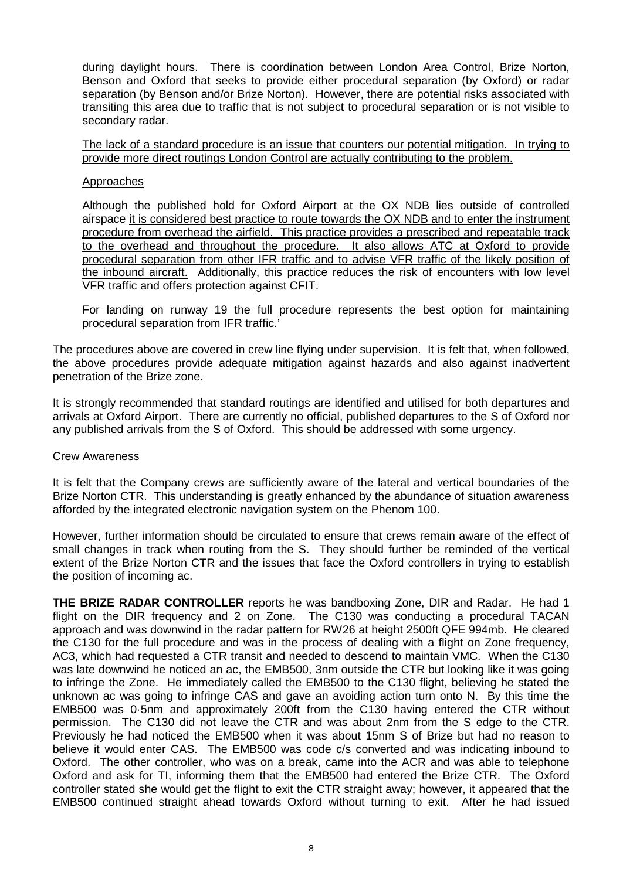during daylight hours. There is coordination between London Area Control, Brize Norton, Benson and Oxford that seeks to provide either procedural separation (by Oxford) or radar separation (by Benson and/or Brize Norton). However, there are potential risks associated with transiting this area due to traffic that is not subject to procedural separation or is not visible to secondary radar.

The lack of a standard procedure is an issue that counters our potential mitigation. In trying to provide more direct routings London Control are actually contributing to the problem.

### Approaches

Although the published hold for Oxford Airport at the OX NDB lies outside of controlled airspace it is considered best practice to route towards the OX NDB and to enter the instrument procedure from overhead the airfield. This practice provides a prescribed and repeatable track to the overhead and throughout the procedure. It also allows ATC at Oxford to provide procedural separation from other IFR traffic and to advise VFR traffic of the likely position of the inbound aircraft. Additionally, this practice reduces the risk of encounters with low level VFR traffic and offers protection against CFIT.

For landing on runway 19 the full procedure represents the best option for maintaining procedural separation from IFR traffic.'

The procedures above are covered in crew line flying under supervision. It is felt that, when followed, the above procedures provide adequate mitigation against hazards and also against inadvertent penetration of the Brize zone.

It is strongly recommended that standard routings are identified and utilised for both departures and arrivals at Oxford Airport. There are currently no official, published departures to the S of Oxford nor any published arrivals from the S of Oxford. This should be addressed with some urgency.

#### Crew Awareness

It is felt that the Company crews are sufficiently aware of the lateral and vertical boundaries of the Brize Norton CTR. This understanding is greatly enhanced by the abundance of situation awareness afforded by the integrated electronic navigation system on the Phenom 100.

However, further information should be circulated to ensure that crews remain aware of the effect of small changes in track when routing from the S. They should further be reminded of the vertical extent of the Brize Norton CTR and the issues that face the Oxford controllers in trying to establish the position of incoming ac.

**THE BRIZE RADAR CONTROLLER** reports he was bandboxing Zone, DIR and Radar. He had 1 flight on the DIR frequency and 2 on Zone. The C130 was conducting a procedural TACAN approach and was downwind in the radar pattern for RW26 at height 2500ft QFE 994mb. He cleared the C130 for the full procedure and was in the process of dealing with a flight on Zone frequency, AC3, which had requested a CTR transit and needed to descend to maintain VMC. When the C130 was late downwind he noticed an ac, the EMB500, 3nm outside the CTR but looking like it was going to infringe the Zone. He immediately called the EMB500 to the C130 flight, believing he stated the unknown ac was going to infringe CAS and gave an avoiding action turn onto N. By this time the EMB500 was 0·5nm and approximately 200ft from the C130 having entered the CTR without permission. The C130 did not leave the CTR and was about 2nm from the S edge to the CTR. Previously he had noticed the EMB500 when it was about 15nm S of Brize but had no reason to believe it would enter CAS. The EMB500 was code c/s converted and was indicating inbound to Oxford. The other controller, who was on a break, came into the ACR and was able to telephone Oxford and ask for TI, informing them that the EMB500 had entered the Brize CTR. The Oxford controller stated she would get the flight to exit the CTR straight away; however, it appeared that the EMB500 continued straight ahead towards Oxford without turning to exit. After he had issued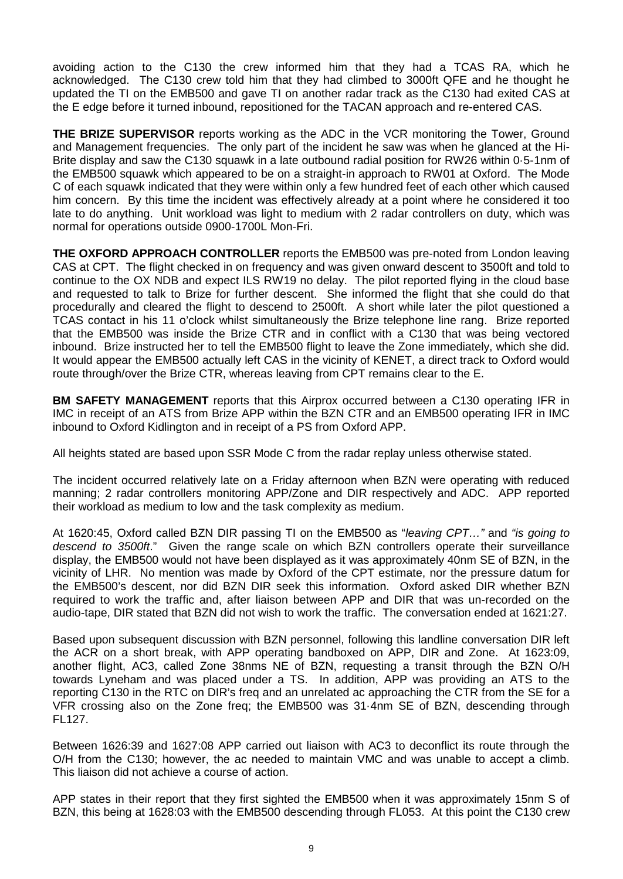avoiding action to the C130 the crew informed him that they had a TCAS RA, which he acknowledged. The C130 crew told him that they had climbed to 3000ft QFE and he thought he updated the TI on the EMB500 and gave TI on another radar track as the C130 had exited CAS at the E edge before it turned inbound, repositioned for the TACAN approach and re-entered CAS.

**THE BRIZE SUPERVISOR** reports working as the ADC in the VCR monitoring the Tower, Ground and Management frequencies. The only part of the incident he saw was when he glanced at the Hi-Brite display and saw the C130 squawk in a late outbound radial position for RW26 within 0·5-1nm of the EMB500 squawk which appeared to be on a straight-in approach to RW01 at Oxford. The Mode C of each squawk indicated that they were within only a few hundred feet of each other which caused him concern. By this time the incident was effectively already at a point where he considered it too late to do anything. Unit workload was light to medium with 2 radar controllers on duty, which was normal for operations outside 0900-1700L Mon-Fri.

**THE OXFORD APPROACH CONTROLLER** reports the EMB500 was pre-noted from London leaving CAS at CPT. The flight checked in on frequency and was given onward descent to 3500ft and told to continue to the OX NDB and expect ILS RW19 no delay. The pilot reported flying in the cloud base and requested to talk to Brize for further descent. She informed the flight that she could do that procedurally and cleared the flight to descend to 2500ft. A short while later the pilot questioned a TCAS contact in his 11 o'clock whilst simultaneously the Brize telephone line rang. Brize reported that the EMB500 was inside the Brize CTR and in conflict with a C130 that was being vectored inbound. Brize instructed her to tell the EMB500 flight to leave the Zone immediately, which she did. It would appear the EMB500 actually left CAS in the vicinity of KENET, a direct track to Oxford would route through/over the Brize CTR, whereas leaving from CPT remains clear to the E.

**BM SAFETY MANAGEMENT** reports that this Airprox occurred between a C130 operating IFR in IMC in receipt of an ATS from Brize APP within the BZN CTR and an EMB500 operating IFR in IMC inbound to Oxford Kidlington and in receipt of a PS from Oxford APP.

All heights stated are based upon SSR Mode C from the radar replay unless otherwise stated.

The incident occurred relatively late on a Friday afternoon when BZN were operating with reduced manning; 2 radar controllers monitoring APP/Zone and DIR respectively and ADC. APP reported their workload as medium to low and the task complexity as medium.

At 1620:45, Oxford called BZN DIR passing TI on the EMB500 as "*leaving CPT…"* and *"is going to descend to 3500ft*." Given the range scale on which BZN controllers operate their surveillance display, the EMB500 would not have been displayed as it was approximately 40nm SE of BZN, in the vicinity of LHR. No mention was made by Oxford of the CPT estimate, nor the pressure datum for the EMB500's descent, nor did BZN DIR seek this information. Oxford asked DIR whether BZN required to work the traffic and, after liaison between APP and DIR that was un-recorded on the audio-tape, DIR stated that BZN did not wish to work the traffic. The conversation ended at 1621:27.

Based upon subsequent discussion with BZN personnel, following this landline conversation DIR left the ACR on a short break, with APP operating bandboxed on APP, DIR and Zone. At 1623:09, another flight, AC3, called Zone 38nms NE of BZN, requesting a transit through the BZN O/H towards Lyneham and was placed under a TS. In addition, APP was providing an ATS to the reporting C130 in the RTC on DIR's freq and an unrelated ac approaching the CTR from the SE for a VFR crossing also on the Zone freq; the EMB500 was 31·4nm SE of BZN, descending through FL127.

Between 1626:39 and 1627:08 APP carried out liaison with AC3 to deconflict its route through the O/H from the C130; however, the ac needed to maintain VMC and was unable to accept a climb. This liaison did not achieve a course of action.

APP states in their report that they first sighted the EMB500 when it was approximately 15nm S of BZN, this being at 1628:03 with the EMB500 descending through FL053. At this point the C130 crew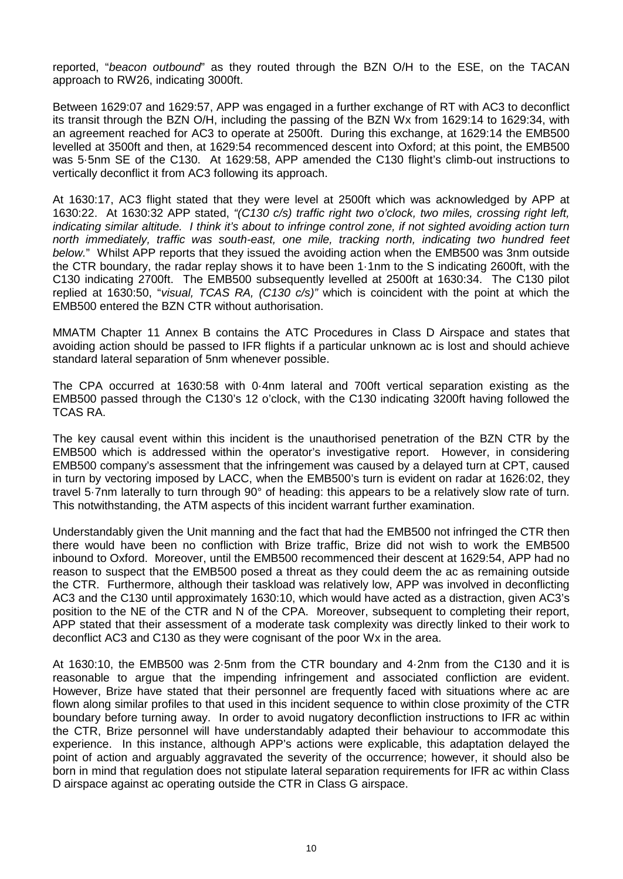reported, "*beacon outbound*" as they routed through the BZN O/H to the ESE, on the TACAN approach to RW26, indicating 3000ft.

Between 1629:07 and 1629:57, APP was engaged in a further exchange of RT with AC3 to deconflict its transit through the BZN O/H, including the passing of the BZN Wx from 1629:14 to 1629:34, with an agreement reached for AC3 to operate at 2500ft. During this exchange, at 1629:14 the EMB500 levelled at 3500ft and then, at 1629:54 recommenced descent into Oxford; at this point, the EMB500 was 5·5nm SE of the C130. At 1629:58, APP amended the C130 flight's climb-out instructions to vertically deconflict it from AC3 following its approach.

At 1630:17, AC3 flight stated that they were level at 2500ft which was acknowledged by APP at 1630:22. At 1630:32 APP stated, *"(C130 c/s) traffic right two o'clock, two miles, crossing right left, indicating similar altitude. I think it's about to infringe control zone, if not sighted avoiding action turn north immediately, traffic was south-east, one mile, tracking north, indicating two hundred feet below.*" Whilst APP reports that they issued the avoiding action when the EMB500 was 3nm outside the CTR boundary, the radar replay shows it to have been 1·1nm to the S indicating 2600ft, with the C130 indicating 2700ft. The EMB500 subsequently levelled at 2500ft at 1630:34. The C130 pilot replied at 1630:50, "*visual, TCAS RA, (C130 c/s)"* which is coincident with the point at which the EMB500 entered the BZN CTR without authorisation.

MMATM Chapter 11 Annex B contains the ATC Procedures in Class D Airspace and states that avoiding action should be passed to IFR flights if a particular unknown ac is lost and should achieve standard lateral separation of 5nm whenever possible.

The CPA occurred at 1630:58 with 0·4nm lateral and 700ft vertical separation existing as the EMB500 passed through the C130's 12 o'clock, with the C130 indicating 3200ft having followed the TCAS RA.

The key causal event within this incident is the unauthorised penetration of the BZN CTR by the EMB500 which is addressed within the operator's investigative report. However, in considering EMB500 company's assessment that the infringement was caused by a delayed turn at CPT, caused in turn by vectoring imposed by LACC, when the EMB500's turn is evident on radar at 1626:02, they travel 5·7nm laterally to turn through 90° of heading: this appears to be a relatively slow rate of turn. This notwithstanding, the ATM aspects of this incident warrant further examination.

Understandably given the Unit manning and the fact that had the EMB500 not infringed the CTR then there would have been no confliction with Brize traffic, Brize did not wish to work the EMB500 inbound to Oxford. Moreover, until the EMB500 recommenced their descent at 1629:54, APP had no reason to suspect that the EMB500 posed a threat as they could deem the ac as remaining outside the CTR. Furthermore, although their taskload was relatively low, APP was involved in deconflicting AC3 and the C130 until approximately 1630:10, which would have acted as a distraction, given AC3's position to the NE of the CTR and N of the CPA. Moreover, subsequent to completing their report, APP stated that their assessment of a moderate task complexity was directly linked to their work to deconflict AC3 and C130 as they were cognisant of the poor Wx in the area.

At 1630:10, the EMB500 was 2·5nm from the CTR boundary and 4·2nm from the C130 and it is reasonable to argue that the impending infringement and associated confliction are evident. However, Brize have stated that their personnel are frequently faced with situations where ac are flown along similar profiles to that used in this incident sequence to within close proximity of the CTR boundary before turning away. In order to avoid nugatory deconfliction instructions to IFR ac within the CTR, Brize personnel will have understandably adapted their behaviour to accommodate this experience. In this instance, although APP's actions were explicable, this adaptation delayed the point of action and arguably aggravated the severity of the occurrence; however, it should also be born in mind that regulation does not stipulate lateral separation requirements for IFR ac within Class D airspace against ac operating outside the CTR in Class G airspace.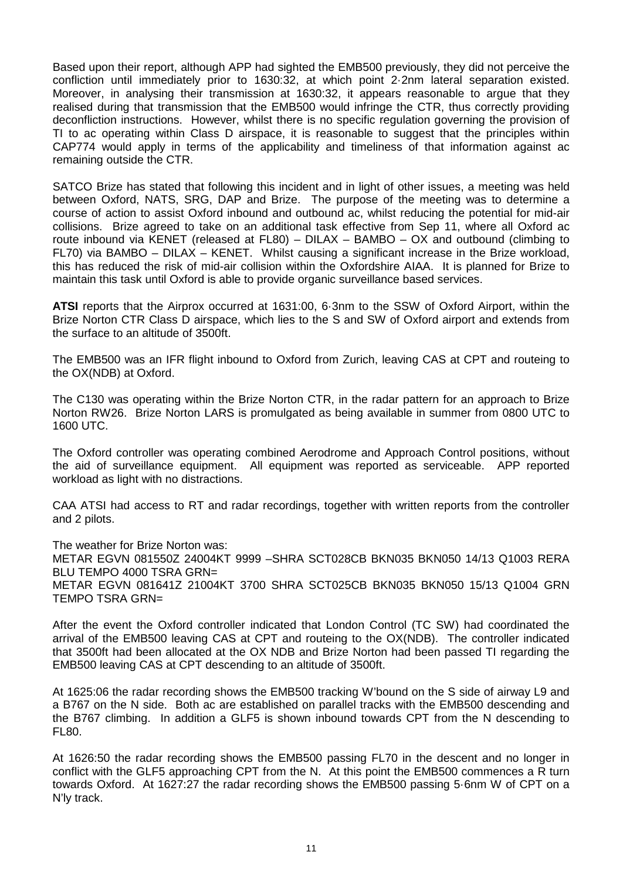Based upon their report, although APP had sighted the EMB500 previously, they did not perceive the confliction until immediately prior to 1630:32, at which point 2·2nm lateral separation existed. Moreover, in analysing their transmission at 1630:32, it appears reasonable to argue that they realised during that transmission that the EMB500 would infringe the CTR, thus correctly providing deconfliction instructions. However, whilst there is no specific regulation governing the provision of TI to ac operating within Class D airspace, it is reasonable to suggest that the principles within CAP774 would apply in terms of the applicability and timeliness of that information against ac remaining outside the CTR.

SATCO Brize has stated that following this incident and in light of other issues, a meeting was held between Oxford, NATS, SRG, DAP and Brize. The purpose of the meeting was to determine a course of action to assist Oxford inbound and outbound ac, whilst reducing the potential for mid-air collisions. Brize agreed to take on an additional task effective from Sep 11, where all Oxford ac route inbound via KENET (released at FL80) – DILAX – BAMBO – OX and outbound (climbing to FL70) via BAMBO – DILAX – KENET. Whilst causing a significant increase in the Brize workload, this has reduced the risk of mid-air collision within the Oxfordshire AIAA. It is planned for Brize to maintain this task until Oxford is able to provide organic surveillance based services.

**ATSI** reports that the Airprox occurred at 1631:00, 6·3nm to the SSW of Oxford Airport, within the Brize Norton CTR Class D airspace, which lies to the S and SW of Oxford airport and extends from the surface to an altitude of 3500ft.

The EMB500 was an IFR flight inbound to Oxford from Zurich, leaving CAS at CPT and routeing to the OX(NDB) at Oxford.

The C130 was operating within the Brize Norton CTR, in the radar pattern for an approach to Brize Norton RW26. Brize Norton LARS is promulgated as being available in summer from 0800 UTC to 1600 UTC.

The Oxford controller was operating combined Aerodrome and Approach Control positions, without the aid of surveillance equipment. All equipment was reported as serviceable. APP reported workload as light with no distractions.

CAA ATSI had access to RT and radar recordings, together with written reports from the controller and 2 pilots.

The weather for Brize Norton was: METAR EGVN 081550Z 24004KT 9999 –SHRA SCT028CB BKN035 BKN050 14/13 Q1003 RERA BLU TEMPO 4000 TSRA GRN= METAR EGVN 081641Z 21004KT 3700 SHRA SCT025CB BKN035 BKN050 15/13 Q1004 GRN TEMPO TSRA GRN=

After the event the Oxford controller indicated that London Control (TC SW) had coordinated the arrival of the EMB500 leaving CAS at CPT and routeing to the OX(NDB). The controller indicated that 3500ft had been allocated at the OX NDB and Brize Norton had been passed TI regarding the EMB500 leaving CAS at CPT descending to an altitude of 3500ft.

At 1625:06 the radar recording shows the EMB500 tracking W'bound on the S side of airway L9 and a B767 on the N side. Both ac are established on parallel tracks with the EMB500 descending and the B767 climbing. In addition a GLF5 is shown inbound towards CPT from the N descending to FL80.

At 1626:50 the radar recording shows the EMB500 passing FL70 in the descent and no longer in conflict with the GLF5 approaching CPT from the N. At this point the EMB500 commences a R turn towards Oxford. At 1627:27 the radar recording shows the EMB500 passing 5·6nm W of CPT on a N'ly track.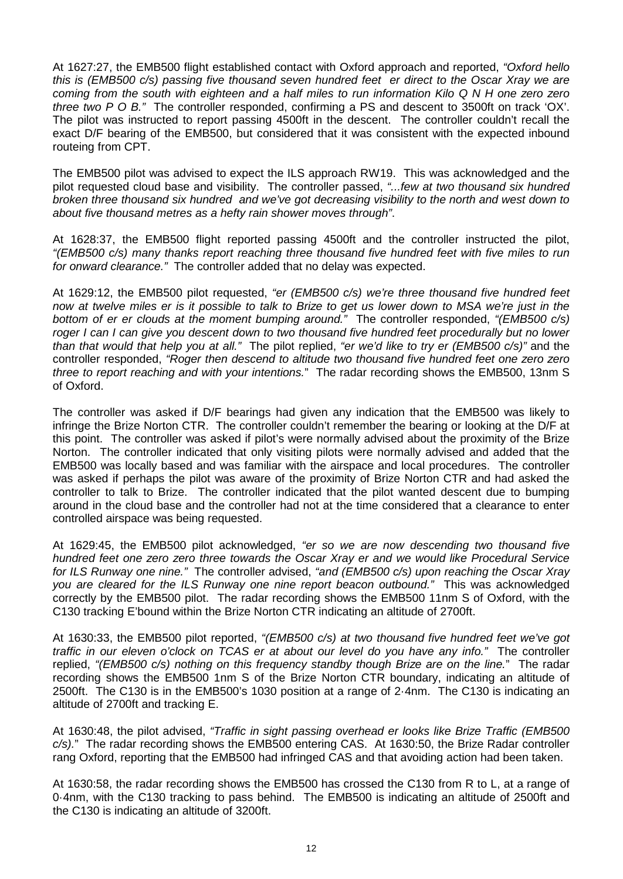At 1627:27, the EMB500 flight established contact with Oxford approach and reported, *"Oxford hello this is (EMB500 c/s) passing five thousand seven hundred feet er direct to the Oscar Xray we are coming from the south with eighteen and a half miles to run information Kilo Q N H one zero zero three two P O B."* The controller responded, confirming a PS and descent to 3500ft on track 'OX'. The pilot was instructed to report passing 4500ft in the descent. The controller couldn't recall the exact D/F bearing of the EMB500, but considered that it was consistent with the expected inbound routeing from CPT.

The EMB500 pilot was advised to expect the ILS approach RW19. This was acknowledged and the pilot requested cloud base and visibility. The controller passed, *"...few at two thousand six hundred broken three thousand six hundred and we've got decreasing visibility to the north and west down to about five thousand metres as a hefty rain shower moves through"*.

At 1628:37, the EMB500 flight reported passing 4500ft and the controller instructed the pilot, *"(EMB500 c/s) many thanks report reaching three thousand five hundred feet with five miles to run for onward clearance."* The controller added that no delay was expected.

At 1629:12, the EMB500 pilot requested, *"er (EMB500 c/s) we're three thousand five hundred feet now at twelve miles er is it possible to talk to Brize to get us lower down to MSA we're just in the bottom of er er clouds at the moment bumping around."* The controller responded, *"(EMB500 c/s) roger I can I can give you descent down to two thousand five hundred feet procedurally but no lower than that would that help you at all."* The pilot replied, *"er we'd like to try er (EMB500 c/s)"* and the controller responded, *"Roger then descend to altitude two thousand five hundred feet one zero zero three to report reaching and with your intentions.*" The radar recording shows the EMB500, 13nm S of Oxford.

The controller was asked if D/F bearings had given any indication that the EMB500 was likely to infringe the Brize Norton CTR. The controller couldn't remember the bearing or looking at the D/F at this point. The controller was asked if pilot's were normally advised about the proximity of the Brize Norton. The controller indicated that only visiting pilots were normally advised and added that the EMB500 was locally based and was familiar with the airspace and local procedures. The controller was asked if perhaps the pilot was aware of the proximity of Brize Norton CTR and had asked the controller to talk to Brize. The controller indicated that the pilot wanted descent due to bumping around in the cloud base and the controller had not at the time considered that a clearance to enter controlled airspace was being requested.

At 1629:45, the EMB500 pilot acknowledged, *"er so we are now descending two thousand five hundred feet one zero zero three towards the Oscar Xray er and we would like Procedural Service for ILS Runway one nine."* The controller advised, *"and (EMB500 c/s) upon reaching the Oscar Xray you are cleared for the ILS Runway one nine report beacon outbound."* This was acknowledged correctly by the EMB500 pilot. The radar recording shows the EMB500 11nm S of Oxford, with the C130 tracking E'bound within the Brize Norton CTR indicating an altitude of 2700ft.

At 1630:33, the EMB500 pilot reported, *"(EMB500 c/s) at two thousand five hundred feet we've got traffic in our eleven o'clock on TCAS er at about our level do you have any info."* The controller replied, *"(EMB500 c/s) nothing on this frequency standby though Brize are on the line.*" The radar recording shows the EMB500 1nm S of the Brize Norton CTR boundary, indicating an altitude of 2500ft. The C130 is in the EMB500's 1030 position at a range of 2·4nm. The C130 is indicating an altitude of 2700ft and tracking E.

At 1630:48, the pilot advised, *"Traffic in sight passing overhead er looks like Brize Traffic (EMB500 c/s).*" The radar recording shows the EMB500 entering CAS. At 1630:50, the Brize Radar controller rang Oxford, reporting that the EMB500 had infringed CAS and that avoiding action had been taken.

At 1630:58, the radar recording shows the EMB500 has crossed the C130 from R to L, at a range of 0·4nm, with the C130 tracking to pass behind. The EMB500 is indicating an altitude of 2500ft and the C130 is indicating an altitude of 3200ft.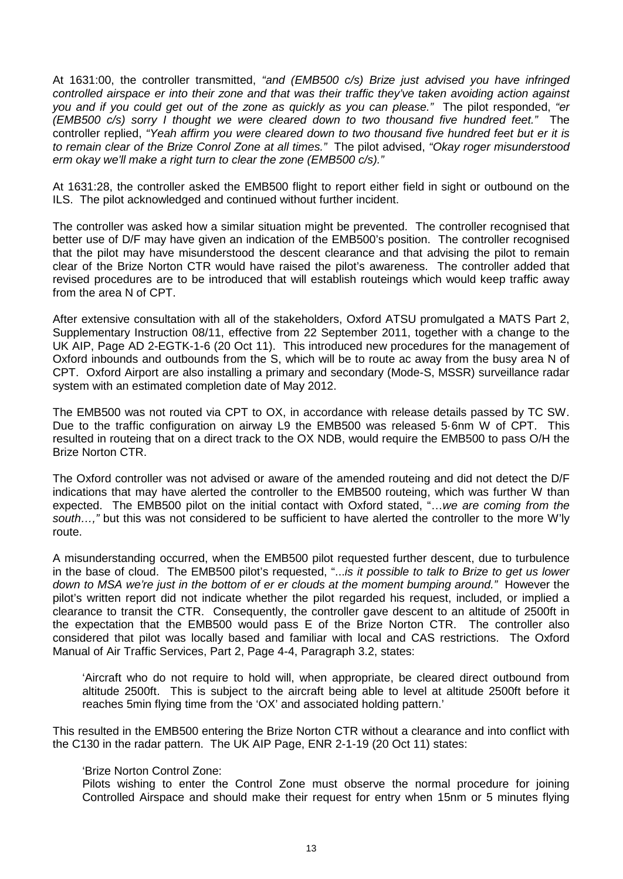At 1631:00, the controller transmitted, *"and (EMB500 c/s) Brize just advised you have infringed controlled airspace er into their zone and that was their traffic they've taken avoiding action against you and if you could get out of the zone as quickly as you can please."* The pilot responded, *"er (EMB500 c/s) sorry I thought we were cleared down to two thousand five hundred feet."* The controller replied, *"Yeah affirm you were cleared down to two thousand five hundred feet but er it is to remain clear of the Brize Conrol Zone at all times."* The pilot advised, *"Okay roger misunderstood erm okay we'll make a right turn to clear the zone (EMB500 c/s)."*

At 1631:28, the controller asked the EMB500 flight to report either field in sight or outbound on the ILS. The pilot acknowledged and continued without further incident.

The controller was asked how a similar situation might be prevented. The controller recognised that better use of D/F may have given an indication of the EMB500's position. The controller recognised that the pilot may have misunderstood the descent clearance and that advising the pilot to remain clear of the Brize Norton CTR would have raised the pilot's awareness. The controller added that revised procedures are to be introduced that will establish routeings which would keep traffic away from the area N of CPT.

After extensive consultation with all of the stakeholders, Oxford ATSU promulgated a MATS Part 2, Supplementary Instruction 08/11, effective from 22 September 2011, together with a change to the UK AIP, Page AD 2-EGTK-1-6 (20 Oct 11). This introduced new procedures for the management of Oxford inbounds and outbounds from the S, which will be to route ac away from the busy area N of CPT. Oxford Airport are also installing a primary and secondary (Mode-S, MSSR) surveillance radar system with an estimated completion date of May 2012.

The EMB500 was not routed via CPT to OX, in accordance with release details passed by TC SW. Due to the traffic configuration on airway L9 the EMB500 was released 5·6nm W of CPT. This resulted in routeing that on a direct track to the OX NDB, would require the EMB500 to pass O/H the Brize Norton CTR.

The Oxford controller was not advised or aware of the amended routeing and did not detect the D/F indications that may have alerted the controller to the EMB500 routeing, which was further W than expected. The EMB500 pilot on the initial contact with Oxford stated, "…*we are coming from the south…,"* but this was not considered to be sufficient to have alerted the controller to the more W'ly route.

A misunderstanding occurred, when the EMB500 pilot requested further descent, due to turbulence in the base of cloud. The EMB500 pilot's requested, "...*is it possible to talk to Brize to get us lower down to MSA we're just in the bottom of er er clouds at the moment bumping around."* However the pilot's written report did not indicate whether the pilot regarded his request, included, or implied a clearance to transit the CTR. Consequently, the controller gave descent to an altitude of 2500ft in the expectation that the EMB500 would pass E of the Brize Norton CTR. The controller also considered that pilot was locally based and familiar with local and CAS restrictions. The Oxford Manual of Air Traffic Services, Part 2, Page 4-4, Paragraph 3.2, states:

'Aircraft who do not require to hold will, when appropriate, be cleared direct outbound from altitude 2500ft. This is subject to the aircraft being able to level at altitude 2500ft before it reaches 5min flying time from the 'OX' and associated holding pattern.'

This resulted in the EMB500 entering the Brize Norton CTR without a clearance and into conflict with the C130 in the radar pattern. The UK AIP Page, ENR 2-1-19 (20 Oct 11) states:

#### 'Brize Norton Control Zone:

Pilots wishing to enter the Control Zone must observe the normal procedure for joining Controlled Airspace and should make their request for entry when 15nm or 5 minutes flying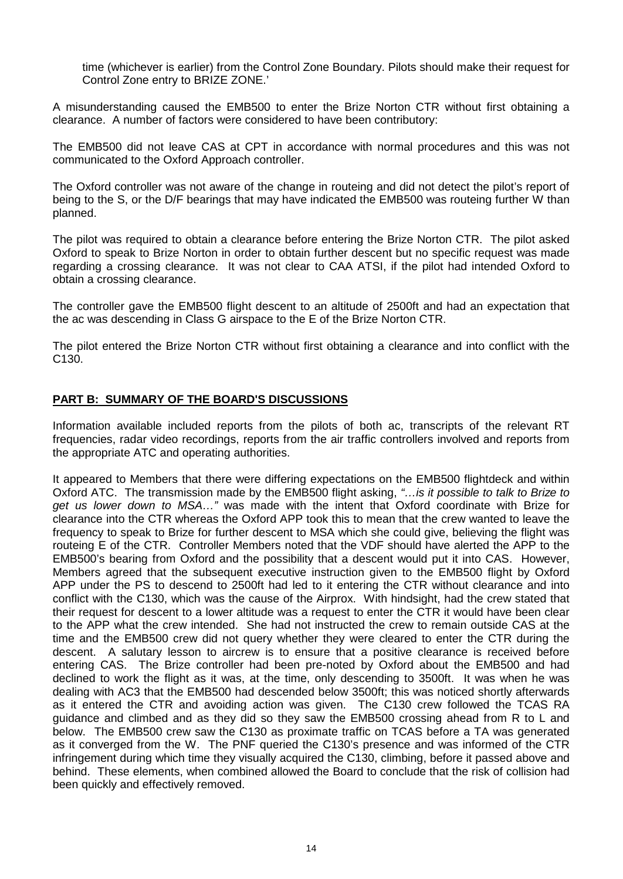time (whichever is earlier) from the Control Zone Boundary. Pilots should make their request for Control Zone entry to BRIZE ZONE.'

A misunderstanding caused the EMB500 to enter the Brize Norton CTR without first obtaining a clearance. A number of factors were considered to have been contributory:

The EMB500 did not leave CAS at CPT in accordance with normal procedures and this was not communicated to the Oxford Approach controller.

The Oxford controller was not aware of the change in routeing and did not detect the pilot's report of being to the S, or the D/F bearings that may have indicated the EMB500 was routeing further W than planned.

The pilot was required to obtain a clearance before entering the Brize Norton CTR. The pilot asked Oxford to speak to Brize Norton in order to obtain further descent but no specific request was made regarding a crossing clearance. It was not clear to CAA ATSI, if the pilot had intended Oxford to obtain a crossing clearance.

The controller gave the EMB500 flight descent to an altitude of 2500ft and had an expectation that the ac was descending in Class G airspace to the E of the Brize Norton CTR.

The pilot entered the Brize Norton CTR without first obtaining a clearance and into conflict with the C130.

# **PART B: SUMMARY OF THE BOARD'S DISCUSSIONS**

Information available included reports from the pilots of both ac, transcripts of the relevant RT frequencies, radar video recordings, reports from the air traffic controllers involved and reports from the appropriate ATC and operating authorities.

It appeared to Members that there were differing expectations on the EMB500 flightdeck and within Oxford ATC. The transmission made by the EMB500 flight asking, *"…is it possible to talk to Brize to get us lower down to MSA…"* was made with the intent that Oxford coordinate with Brize for clearance into the CTR whereas the Oxford APP took this to mean that the crew wanted to leave the frequency to speak to Brize for further descent to MSA which she could give, believing the flight was routeing E of the CTR. Controller Members noted that the VDF should have alerted the APP to the EMB500's bearing from Oxford and the possibility that a descent would put it into CAS. However, Members agreed that the subsequent executive instruction given to the EMB500 flight by Oxford APP under the PS to descend to 2500ft had led to it entering the CTR without clearance and into conflict with the C130, which was the cause of the Airprox. With hindsight, had the crew stated that their request for descent to a lower altitude was a request to enter the CTR it would have been clear to the APP what the crew intended. She had not instructed the crew to remain outside CAS at the time and the EMB500 crew did not query whether they were cleared to enter the CTR during the descent. A salutary lesson to aircrew is to ensure that a positive clearance is received before entering CAS. The Brize controller had been pre-noted by Oxford about the EMB500 and had declined to work the flight as it was, at the time, only descending to 3500ft. It was when he was dealing with AC3 that the EMB500 had descended below 3500ft; this was noticed shortly afterwards as it entered the CTR and avoiding action was given. The C130 crew followed the TCAS RA guidance and climbed and as they did so they saw the EMB500 crossing ahead from R to L and below. The EMB500 crew saw the C130 as proximate traffic on TCAS before a TA was generated as it converged from the W. The PNF queried the C130's presence and was informed of the CTR infringement during which time they visually acquired the C130, climbing, before it passed above and behind. These elements, when combined allowed the Board to conclude that the risk of collision had been quickly and effectively removed.